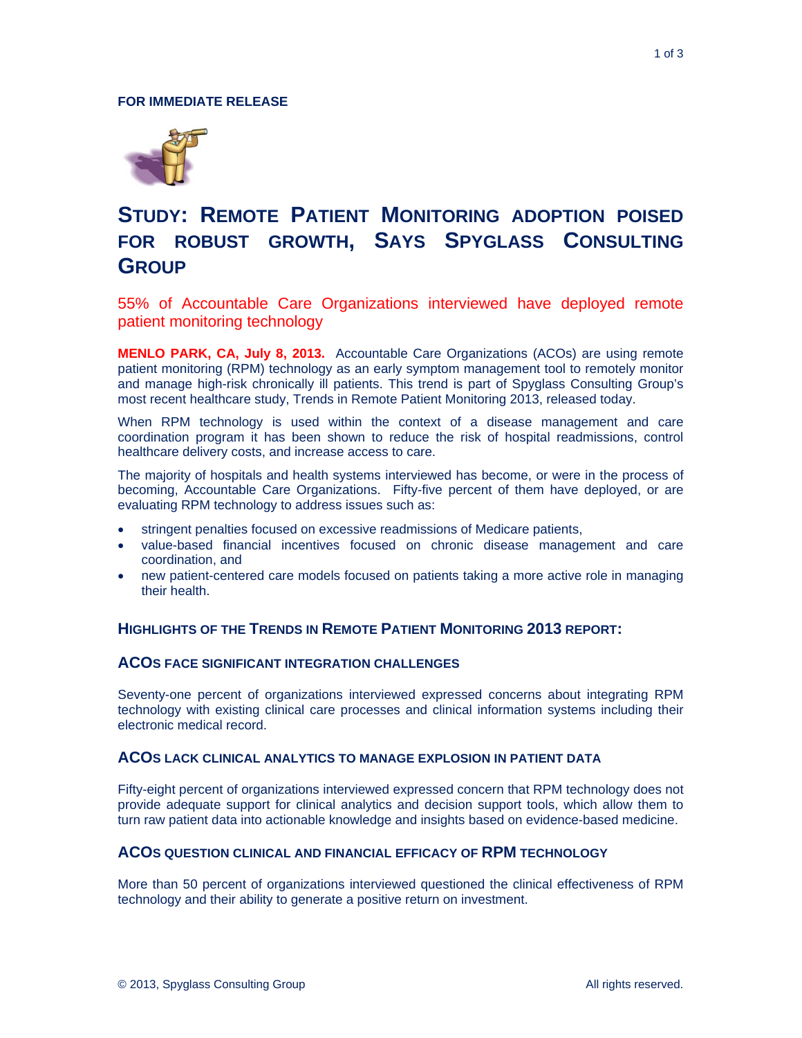

# **STUDY: REMOTE PATIENT MONITORING ADOPTION POISED FOR ROBUST GROWTH, SAYS SPYGLASS CONSULTING GROUP**

55% of Accountable Care Organizations interviewed have deployed remote patient monitoring technology

**MENLO PARK, CA, July 8, 2013.** Accountable Care Organizations (ACOs) are using remote patient monitoring (RPM) technology as an early symptom management tool to remotely monitor and manage high-risk chronically ill patients. This trend is part of Spyglass Consulting Group's most recent healthcare study, Trends in Remote Patient Monitoring 2013, released today.

When RPM technology is used within the context of a disease management and care coordination program it has been shown to reduce the risk of hospital readmissions, control healthcare delivery costs, and increase access to care.

The majority of hospitals and health systems interviewed has become, or were in the process of becoming, Accountable Care Organizations. Fifty-five percent of them have deployed, or are evaluating RPM technology to address issues such as:

- stringent penalties focused on excessive readmissions of Medicare patients,
- value-based financial incentives focused on chronic disease management and care coordination, and
- new patient-centered care models focused on patients taking a more active role in managing their health.

## **HIGHLIGHTS OF THE TRENDS IN REMOTE PATIENT MONITORING 2013 REPORT:**

#### **ACOS FACE SIGNIFICANT INTEGRATION CHALLENGES**

Seventy-one percent of organizations interviewed expressed concerns about integrating RPM technology with existing clinical care processes and clinical information systems including their electronic medical record.

#### **ACOS LACK CLINICAL ANALYTICS TO MANAGE EXPLOSION IN PATIENT DATA**

Fifty-eight percent of organizations interviewed expressed concern that RPM technology does not provide adequate support for clinical analytics and decision support tools, which allow them to turn raw patient data into actionable knowledge and insights based on evidence-based medicine.

### **ACOS QUESTION CLINICAL AND FINANCIAL EFFICACY OF RPM TECHNOLOGY**

More than 50 percent of organizations interviewed questioned the clinical effectiveness of RPM technology and their ability to generate a positive return on investment.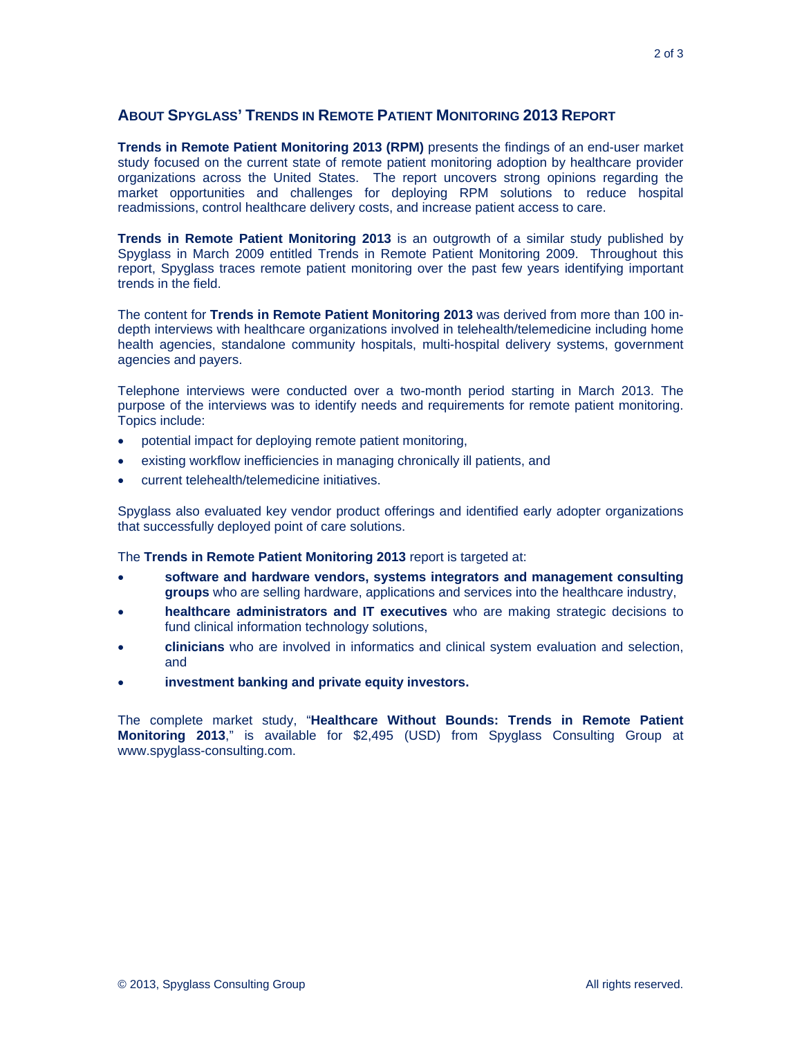## **ABOUT SPYGLASS' TRENDS IN REMOTE PATIENT MONITORING 2013 REPORT**

**Trends in Remote Patient Monitoring 2013 (RPM)** presents the findings of an end-user market study focused on the current state of remote patient monitoring adoption by healthcare provider organizations across the United States. The report uncovers strong opinions regarding the market opportunities and challenges for deploying RPM solutions to reduce hospital readmissions, control healthcare delivery costs, and increase patient access to care.

**Trends in Remote Patient Monitoring 2013** is an outgrowth of a similar study published by Spyglass in March 2009 entitled Trends in Remote Patient Monitoring 2009. Throughout this report, Spyglass traces remote patient monitoring over the past few years identifying important trends in the field.

The content for **Trends in Remote Patient Monitoring 2013** was derived from more than 100 indepth interviews with healthcare organizations involved in telehealth/telemedicine including home health agencies, standalone community hospitals, multi-hospital delivery systems, government agencies and payers.

Telephone interviews were conducted over a two-month period starting in March 2013. The purpose of the interviews was to identify needs and requirements for remote patient monitoring. Topics include:

- potential impact for deploying remote patient monitoring,
- existing workflow inefficiencies in managing chronically ill patients, and
- current telehealth/telemedicine initiatives.

Spyglass also evaluated key vendor product offerings and identified early adopter organizations that successfully deployed point of care solutions.

The **Trends in Remote Patient Monitoring 2013** report is targeted at:

- **software and hardware vendors, systems integrators and management consulting groups** who are selling hardware, applications and services into the healthcare industry,
- **healthcare administrators and IT executives** who are making strategic decisions to fund clinical information technology solutions,
- **clinicians** who are involved in informatics and clinical system evaluation and selection, and
- **investment banking and private equity investors.**

The complete market study, "**Healthcare Without Bounds: Trends in Remote Patient Monitoring 2013**," is available for \$2,495 (USD) from Spyglass Consulting Group at www.spyglass-consulting.com.